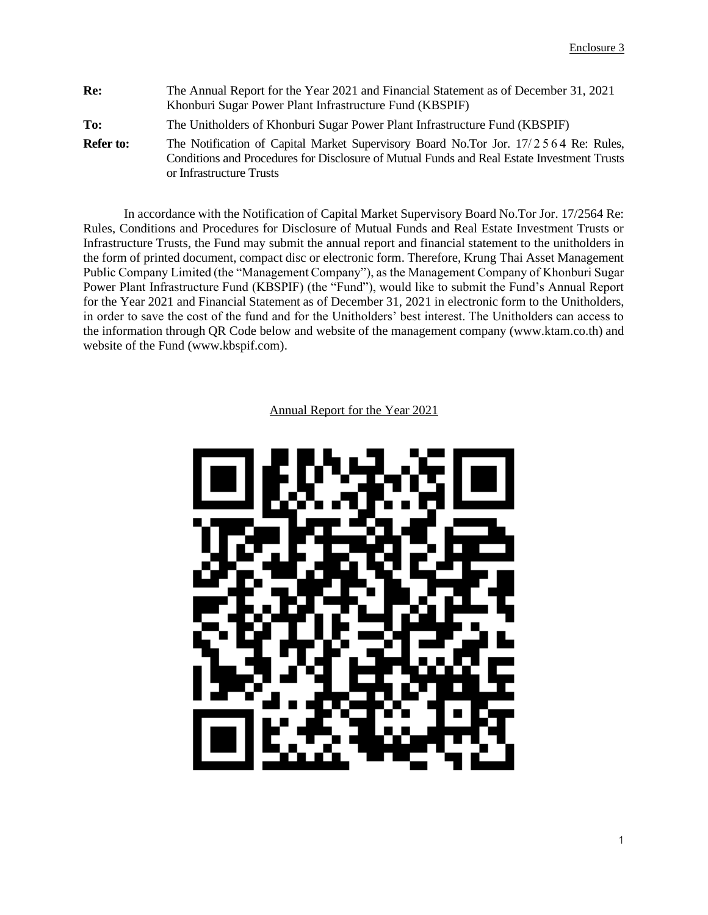| Re:              | The Annual Report for the Year 2021 and Financial Statement as of December 31, 2021<br>Khonburi Sugar Power Plant Infrastructure Fund (KBSPIF)                                                                |
|------------------|---------------------------------------------------------------------------------------------------------------------------------------------------------------------------------------------------------------|
| To:              | The Unitholders of Khonburi Sugar Power Plant Infrastructure Fund (KBSPIF)                                                                                                                                    |
| <b>Refer to:</b> | The Notification of Capital Market Supervisory Board No.Tor Jor. 17/2564 Re: Rules,<br>Conditions and Procedures for Disclosure of Mutual Funds and Real Estate Investment Trusts<br>or Infrastructure Trusts |

In accordance with the Notification of Capital Market Supervisory Board No.Tor Jor. 17/2564 Re: Rules, Conditions and Procedures for Disclosure of Mutual Funds and Real Estate Investment Trusts or Infrastructure Trusts, the Fund may submit the annual report and financial statement to the unitholders in the form of printed document, compact disc or electronic form. Therefore, Krung Thai Asset Management Public Company Limited (the "Management Company"), as the Management Company of Khonburi Sugar Power Plant Infrastructure Fund (KBSPIF) (the "Fund"), would like to submit the Fund's Annual Report for the Year 2021 and Financial Statement as of December 31, 2021 in electronic form to the Unitholders, in order to save the cost of the fund and for the Unitholders' best interest. The Unitholders can access to the information through QR Code below and website of the management company (www.ktam.co.th) and website of the Fund [\(www.kbspif.com\)](http://www.kbspif.com/).

Annual Report for the Year 2021